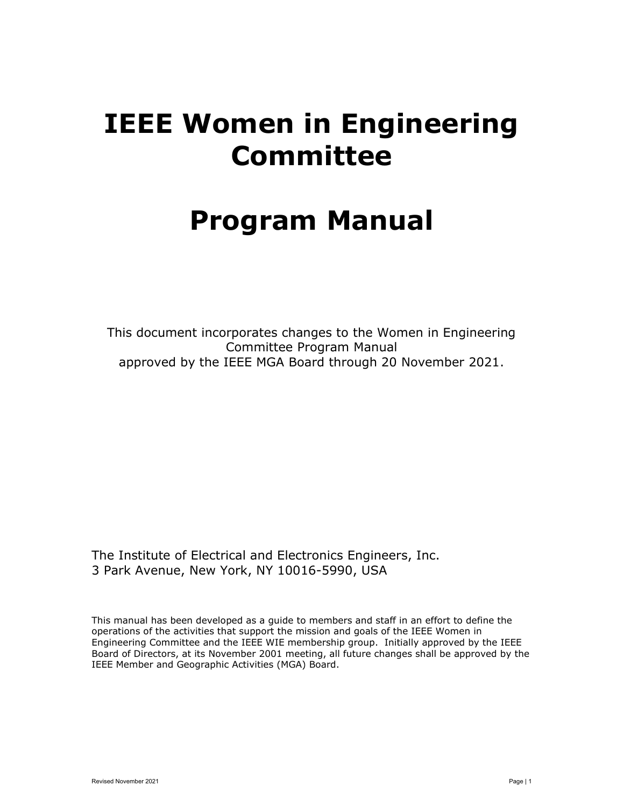# IEEE Women in Engineering Committee

# Program Manual

This document incorporates changes to the Women in Engineering Committee Program Manual approved by the IEEE MGA Board through 20 November 2021.

The Institute of Electrical and Electronics Engineers, Inc. 3 Park Avenue, New York, NY 10016-5990, USA

This manual has been developed as a guide to members and staff in an effort to define the operations of the activities that support the mission and goals of the IEEE Women in Engineering Committee and the IEEE WIE membership group. Initially approved by the IEEE Board of Directors, at its November 2001 meeting, all future changes shall be approved by the IEEE Member and Geographic Activities (MGA) Board.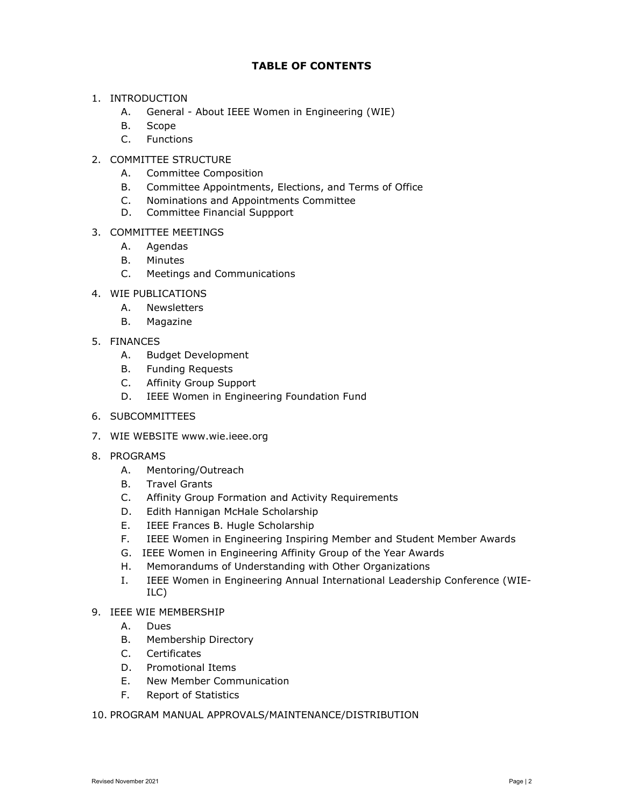# TABLE OF CONTENTS

## 1. INTRODUCTION

- A. General About IEEE Women in Engineering (WIE)
- B. Scope
- C. Functions

# 2. COMMITTEE STRUCTURE

- A. Committee Composition
- B. Committee Appointments, Elections, and Terms of Office
- C. Nominations and Appointments Committee
- D. Committee Financial Suppport

# 3. COMMITTEE MEETINGS

- A. Agendas
- B. Minutes
- C. Meetings and Communications
- 4. WIE PUBLICATIONS
	- A. Newsletters
	- B. Magazine
- 5. FINANCES
	- A. Budget Development
	- B. Funding Requests
	- C. Affinity Group Support
	- D. IEEE Women in Engineering Foundation Fund
- 6. SUBCOMMITTEES
- 7. WIE WEBSITE www.wie.ieee.org
- 8. PROGRAMS
	- A. Mentoring/Outreach
	- B. Travel Grants
	- C. Affinity Group Formation and Activity Requirements
	- D. Edith Hannigan McHale Scholarship
	- E. IEEE Frances B. Hugle Scholarship
	- F. IEEE Women in Engineering Inspiring Member and Student Member Awards
	- G. IEEE Women in Engineering Affinity Group of the Year Awards
	- H. Memorandums of Understanding with Other Organizations
	- I. IEEE Women in Engineering Annual International Leadership Conference (WIE-ILC)

# 9. IEEE WIE MEMBERSHIP

- A. Dues
- B. Membership Directory
- C. Certificates
- D. Promotional Items
- E. New Member Communication
- F. Report of Statistics
- 10. PROGRAM MANUAL APPROVALS/MAINTENANCE/DISTRIBUTION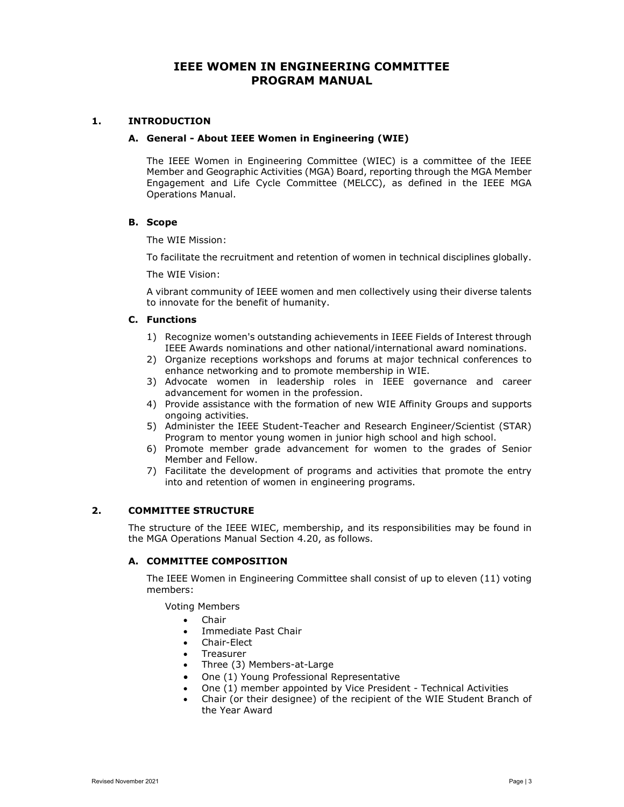# IEEE WOMEN IN ENGINEERING COMMITTEE PROGRAM MANUAL

## 1. INTRODUCTION

## A. General - About IEEE Women in Engineering (WIE)

The IEEE Women in Engineering Committee (WIEC) is a committee of the IEEE Member and Geographic Activities (MGA) Board, reporting through the MGA Member Engagement and Life Cycle Committee (MELCC), as defined in the IEEE MGA Operations Manual.

## B. Scope

The WIE Mission:

To facilitate the recruitment and retention of women in technical disciplines globally.

The WIE Vision:

A vibrant community of IEEE women and men collectively using their diverse talents to innovate for the benefit of humanity.

## C. Functions

- 1) Recognize women's outstanding achievements in IEEE Fields of Interest through IEEE Awards nominations and other national/international award nominations.
- 2) Organize receptions workshops and forums at major technical conferences to enhance networking and to promote membership in WIE.
- 3) Advocate women in leadership roles in IEEE governance and career advancement for women in the profession.
- 4) Provide assistance with the formation of new WIE Affinity Groups and supports ongoing activities.
- 5) Administer the IEEE Student-Teacher and Research Engineer/Scientist (STAR) Program to mentor young women in junior high school and high school.
- 6) Promote member grade advancement for women to the grades of Senior Member and Fellow.
- 7) Facilitate the development of programs and activities that promote the entry into and retention of women in engineering programs.

## 2. COMMITTEE STRUCTURE

The structure of the IEEE WIEC, membership, and its responsibilities may be found in the MGA Operations Manual Section 4.20, as follows.

## A. COMMITTEE COMPOSITION

The IEEE Women in Engineering Committee shall consist of up to eleven (11) voting members:

Voting Members

- Chair
- Immediate Past Chair
- Chair-Elect
- Treasurer
- Three (3) Members-at-Large
- One (1) Young Professional Representative
- One (1) member appointed by Vice President Technical Activities
- Chair (or their designee) of the recipient of the WIE Student Branch of the Year Award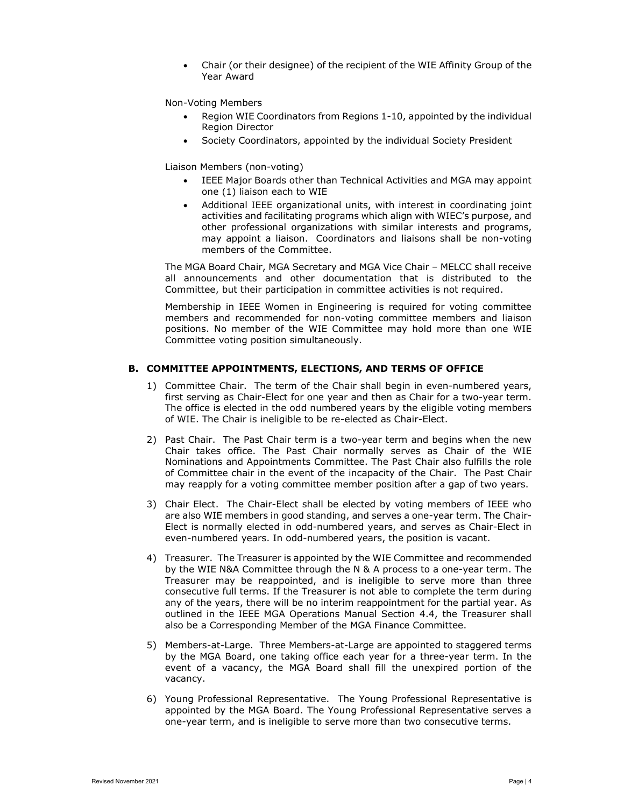Chair (or their designee) of the recipient of the WIE Affinity Group of the Year Award

Non-Voting Members

- Region WIE Coordinators from Regions 1-10, appointed by the individual Region Director
- Society Coordinators, appointed by the individual Society President

Liaison Members (non-voting)

- IEEE Major Boards other than Technical Activities and MGA may appoint one (1) liaison each to WIE
- Additional IEEE organizational units, with interest in coordinating joint activities and facilitating programs which align with WIEC's purpose, and other professional organizations with similar interests and programs, may appoint a liaison. Coordinators and liaisons shall be non-voting members of the Committee.

The MGA Board Chair, MGA Secretary and MGA Vice Chair – MELCC shall receive all announcements and other documentation that is distributed to the Committee, but their participation in committee activities is not required.

Membership in IEEE Women in Engineering is required for voting committee members and recommended for non-voting committee members and liaison positions. No member of the WIE Committee may hold more than one WIE Committee voting position simultaneously.

## B. COMMITTEE APPOINTMENTS, ELECTIONS, AND TERMS OF OFFICE

- 1) Committee Chair. The term of the Chair shall begin in even-numbered years, first serving as Chair-Elect for one year and then as Chair for a two-year term. The office is elected in the odd numbered years by the eligible voting members of WIE. The Chair is ineligible to be re-elected as Chair-Elect.
- 2) Past Chair. The Past Chair term is a two-year term and begins when the new Chair takes office. The Past Chair normally serves as Chair of the WIE Nominations and Appointments Committee. The Past Chair also fulfills the role of Committee chair in the event of the incapacity of the Chair. The Past Chair may reapply for a voting committee member position after a gap of two years.
- 3) Chair Elect. The Chair-Elect shall be elected by voting members of IEEE who are also WIE members in good standing, and serves a one-year term. The Chair-Elect is normally elected in odd-numbered years, and serves as Chair-Elect in even-numbered years. In odd-numbered years, the position is vacant.
- 4) Treasurer. The Treasurer is appointed by the WIE Committee and recommended by the WIE N&A Committee through the N & A process to a one-year term. The Treasurer may be reappointed, and is ineligible to serve more than three consecutive full terms. If the Treasurer is not able to complete the term during any of the years, there will be no interim reappointment for the partial year. As outlined in the IEEE MGA Operations Manual Section 4.4, the Treasurer shall also be a Corresponding Member of the MGA Finance Committee.
- 5) Members-at-Large. Three Members-at-Large are appointed to staggered terms by the MGA Board, one taking office each year for a three-year term. In the event of a vacancy, the MGA Board shall fill the unexpired portion of the vacancy.
- 6) Young Professional Representative. The Young Professional Representative is appointed by the MGA Board. The Young Professional Representative serves a one-year term, and is ineligible to serve more than two consecutive terms.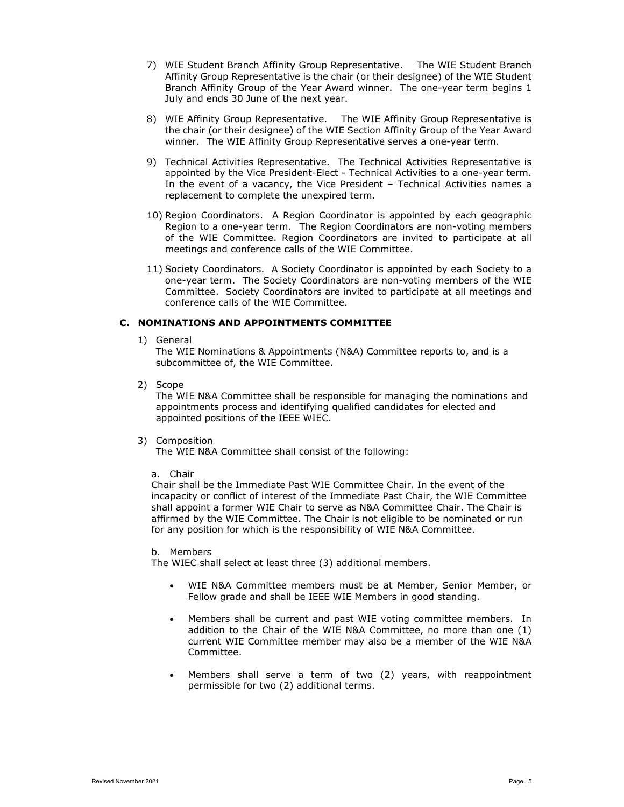- 7) WIE Student Branch Affinity Group Representative. The WIE Student Branch Affinity Group Representative is the chair (or their designee) of the WIE Student Branch Affinity Group of the Year Award winner. The one-year term begins 1 July and ends 30 June of the next year.
- 8) WIE Affinity Group Representative. The WIE Affinity Group Representative is the chair (or their designee) of the WIE Section Affinity Group of the Year Award winner. The WIE Affinity Group Representative serves a one-year term.
- 9) Technical Activities Representative. The Technical Activities Representative is appointed by the Vice President-Elect - Technical Activities to a one-year term. In the event of a vacancy, the Vice President – Technical Activities names a replacement to complete the unexpired term.
- 10) Region Coordinators. A Region Coordinator is appointed by each geographic Region to a one-year term. The Region Coordinators are non-voting members of the WIE Committee. Region Coordinators are invited to participate at all meetings and conference calls of the WIE Committee.
- 11) Society Coordinators. A Society Coordinator is appointed by each Society to a one-year term. The Society Coordinators are non-voting members of the WIE Committee. Society Coordinators are invited to participate at all meetings and conference calls of the WIE Committee.

## C. NOMINATIONS AND APPOINTMENTS COMMITTEE

1) General

The WIE Nominations & Appointments (N&A) Committee reports to, and is a subcommittee of, the WIE Committee.

2) Scope

The WIE N&A Committee shall be responsible for managing the nominations and appointments process and identifying qualified candidates for elected and appointed positions of the IEEE WIEC.

3) Composition

The WIE N&A Committee shall consist of the following:

a. Chair

Chair shall be the Immediate Past WIE Committee Chair. In the event of the incapacity or conflict of interest of the Immediate Past Chair, the WIE Committee shall appoint a former WIE Chair to serve as N&A Committee Chair. The Chair is affirmed by the WIE Committee. The Chair is not eligible to be nominated or run for any position for which is the responsibility of WIE N&A Committee.

b. Members

The WIEC shall select at least three (3) additional members.

- WIE N&A Committee members must be at Member, Senior Member, or Fellow grade and shall be IEEE WIE Members in good standing.
- Members shall be current and past WIE voting committee members. In addition to the Chair of the WIE N&A Committee, no more than one (1) current WIE Committee member may also be a member of the WIE N&A Committee.
- Members shall serve a term of two (2) years, with reappointment permissible for two (2) additional terms.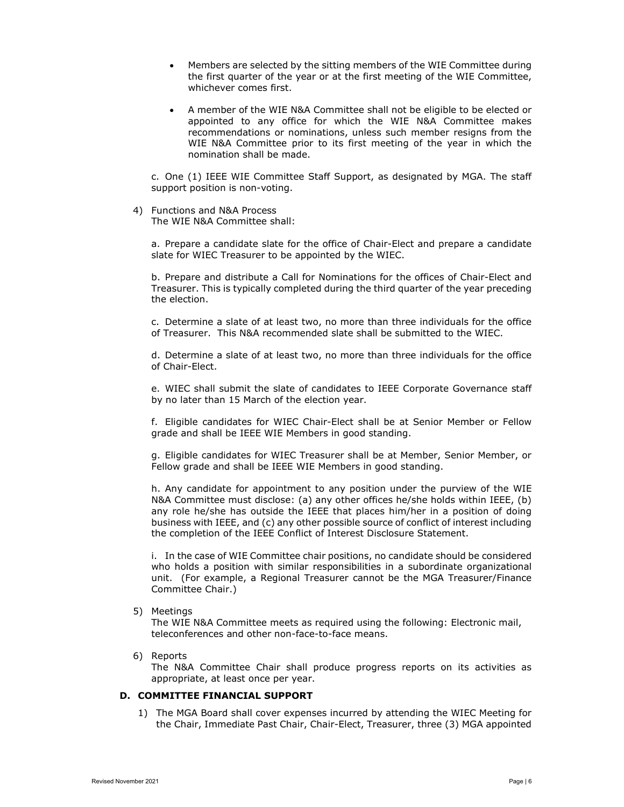- Members are selected by the sitting members of the WIE Committee during the first quarter of the year or at the first meeting of the WIE Committee, whichever comes first.
- A member of the WIE N&A Committee shall not be eligible to be elected or appointed to any office for which the WIE N&A Committee makes recommendations or nominations, unless such member resigns from the WIE N&A Committee prior to its first meeting of the year in which the nomination shall be made.

c. One (1) IEEE WIE Committee Staff Support, as designated by MGA. The staff support position is non-voting.

4) Functions and N&A Process The WIE N&A Committee shall:

> a. Prepare a candidate slate for the office of Chair-Elect and prepare a candidate slate for WIEC Treasurer to be appointed by the WIEC.

> b. Prepare and distribute a Call for Nominations for the offices of Chair-Elect and Treasurer. This is typically completed during the third quarter of the year preceding the election.

> c. Determine a slate of at least two, no more than three individuals for the office of Treasurer. This N&A recommended slate shall be submitted to the WIEC.

> d. Determine a slate of at least two, no more than three individuals for the office of Chair-Elect.

> e. WIEC shall submit the slate of candidates to IEEE Corporate Governance staff by no later than 15 March of the election year.

> f. Eligible candidates for WIEC Chair-Elect shall be at Senior Member or Fellow grade and shall be IEEE WIE Members in good standing.

> g. Eligible candidates for WIEC Treasurer shall be at Member, Senior Member, or Fellow grade and shall be IEEE WIE Members in good standing.

> h. Any candidate for appointment to any position under the purview of the WIE N&A Committee must disclose: (a) any other offices he/she holds within IEEE, (b) any role he/she has outside the IEEE that places him/her in a position of doing business with IEEE, and (c) any other possible source of conflict of interest including the completion of the IEEE Conflict of Interest Disclosure Statement.

> i. In the case of WIE Committee chair positions, no candidate should be considered who holds a position with similar responsibilities in a subordinate organizational unit. (For example, a Regional Treasurer cannot be the MGA Treasurer/Finance Committee Chair.)

5) Meetings

The WIE N&A Committee meets as required using the following: Electronic mail, teleconferences and other non-face-to-face means.

6) Reports

The N&A Committee Chair shall produce progress reports on its activities as appropriate, at least once per year.

## D. COMMITTEE FINANCIAL SUPPORT

1) The MGA Board shall cover expenses incurred by attending the WIEC Meeting for the Chair, Immediate Past Chair, Chair-Elect, Treasurer, three (3) MGA appointed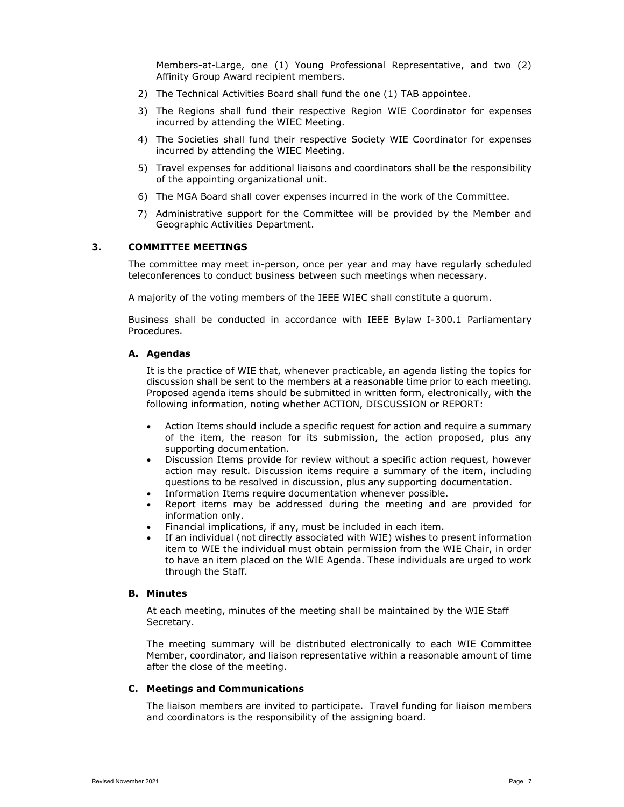Members-at-Large, one (1) Young Professional Representative, and two (2) Affinity Group Award recipient members.

- 2) The Technical Activities Board shall fund the one (1) TAB appointee.
- 3) The Regions shall fund their respective Region WIE Coordinator for expenses incurred by attending the WIEC Meeting.
- 4) The Societies shall fund their respective Society WIE Coordinator for expenses incurred by attending the WIEC Meeting.
- 5) Travel expenses for additional liaisons and coordinators shall be the responsibility of the appointing organizational unit.
- 6) The MGA Board shall cover expenses incurred in the work of the Committee.
- 7) Administrative support for the Committee will be provided by the Member and Geographic Activities Department.

## 3. COMMITTEE MEETINGS

The committee may meet in-person, once per year and may have regularly scheduled teleconferences to conduct business between such meetings when necessary.

A majority of the voting members of the IEEE WIEC shall constitute a quorum.

 Business shall be conducted in accordance with IEEE Bylaw I-300.1 Parliamentary Procedures.

## A. Agendas

It is the practice of WIE that, whenever practicable, an agenda listing the topics for discussion shall be sent to the members at a reasonable time prior to each meeting. Proposed agenda items should be submitted in written form, electronically, with the following information, noting whether ACTION, DISCUSSION or REPORT:

- Action Items should include a specific request for action and require a summary of the item, the reason for its submission, the action proposed, plus any supporting documentation.
- Discussion Items provide for review without a specific action request, however action may result. Discussion items require a summary of the item, including questions to be resolved in discussion, plus any supporting documentation.
- Information Items require documentation whenever possible.
- Report items may be addressed during the meeting and are provided for information only.
- Financial implications, if any, must be included in each item.
- If an individual (not directly associated with WIE) wishes to present information item to WIE the individual must obtain permission from the WIE Chair, in order to have an item placed on the WIE Agenda. These individuals are urged to work through the Staff.

## B. Minutes

At each meeting, minutes of the meeting shall be maintained by the WIE Staff Secretary.

The meeting summary will be distributed electronically to each WIE Committee Member, coordinator, and liaison representative within a reasonable amount of time after the close of the meeting.

## C. Meetings and Communications

The liaison members are invited to participate. Travel funding for liaison members and coordinators is the responsibility of the assigning board.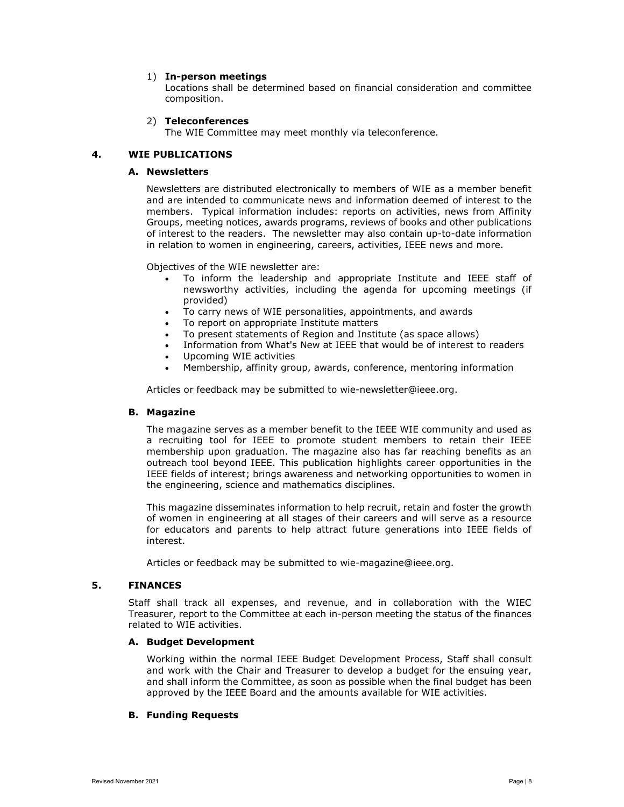#### 1) In-person meetings

Locations shall be determined based on financial consideration and committee composition.

## 2) Teleconferences

The WIE Committee may meet monthly via teleconference.

## 4. WIE PUBLICATIONS

## A. Newsletters

Newsletters are distributed electronically to members of WIE as a member benefit and are intended to communicate news and information deemed of interest to the members. Typical information includes: reports on activities, news from Affinity Groups, meeting notices, awards programs, reviews of books and other publications of interest to the readers. The newsletter may also contain up-to-date information in relation to women in engineering, careers, activities, IEEE news and more.

Objectives of the WIE newsletter are:

- To inform the leadership and appropriate Institute and IEEE staff of newsworthy activities, including the agenda for upcoming meetings (if provided)
- To carry news of WIE personalities, appointments, and awards
- To report on appropriate Institute matters
- To present statements of Region and Institute (as space allows)
- Information from What's New at IEEE that would be of interest to readers
- Upcoming WIE activities
- Membership, affinity group, awards, conference, mentoring information

Articles or feedback may be submitted to wie-newsletter@ieee.org.

## B. Magazine

The magazine serves as a member benefit to the IEEE WIE community and used as a recruiting tool for IEEE to promote student members to retain their IEEE membership upon graduation. The magazine also has far reaching benefits as an outreach tool beyond IEEE. This publication highlights career opportunities in the IEEE fields of interest; brings awareness and networking opportunities to women in the engineering, science and mathematics disciplines.

This magazine disseminates information to help recruit, retain and foster the growth of women in engineering at all stages of their careers and will serve as a resource for educators and parents to help attract future generations into IEEE fields of interest.

Articles or feedback may be submitted to wie-magazine@ieee.org.

#### 5. FINANCES

Staff shall track all expenses, and revenue, and in collaboration with the WIEC Treasurer, report to the Committee at each in-person meeting the status of the finances related to WIE activities.

#### A. Budget Development

Working within the normal IEEE Budget Development Process, Staff shall consult and work with the Chair and Treasurer to develop a budget for the ensuing year, and shall inform the Committee, as soon as possible when the final budget has been approved by the IEEE Board and the amounts available for WIE activities.

## B. Funding Requests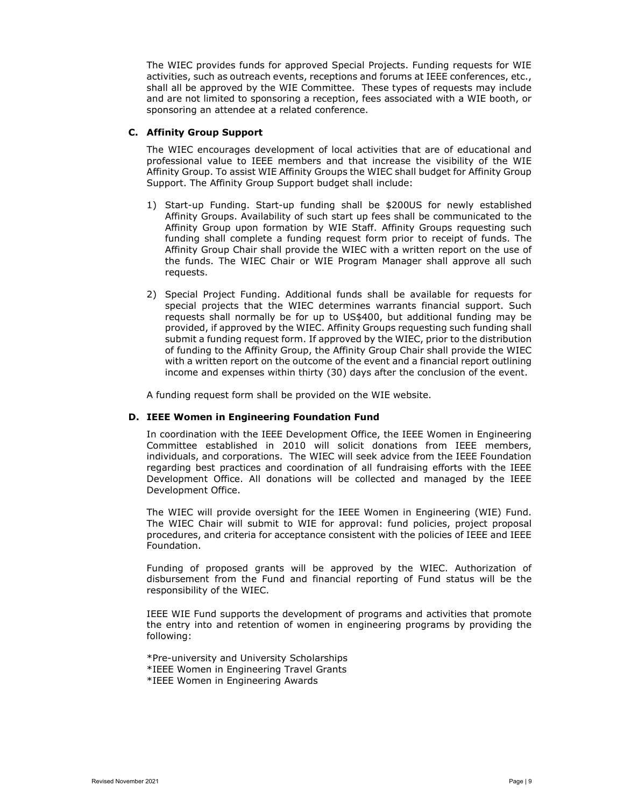The WIEC provides funds for approved Special Projects. Funding requests for WIE activities, such as outreach events, receptions and forums at IEEE conferences, etc., shall all be approved by the WIE Committee. These types of requests may include and are not limited to sponsoring a reception, fees associated with a WIE booth, or sponsoring an attendee at a related conference.

## C. Affinity Group Support

The WIEC encourages development of local activities that are of educational and professional value to IEEE members and that increase the visibility of the WIE Affinity Group. To assist WIE Affinity Groups the WIEC shall budget for Affinity Group Support. The Affinity Group Support budget shall include:

- 1) Start-up Funding. Start-up funding shall be \$200US for newly established Affinity Groups. Availability of such start up fees shall be communicated to the Affinity Group upon formation by WIE Staff. Affinity Groups requesting such funding shall complete a funding request form prior to receipt of funds. The Affinity Group Chair shall provide the WIEC with a written report on the use of the funds. The WIEC Chair or WIE Program Manager shall approve all such requests.
- 2) Special Project Funding. Additional funds shall be available for requests for special projects that the WIEC determines warrants financial support. Such requests shall normally be for up to US\$400, but additional funding may be provided, if approved by the WIEC. Affinity Groups requesting such funding shall submit a funding request form. If approved by the WIEC, prior to the distribution of funding to the Affinity Group, the Affinity Group Chair shall provide the WIEC with a written report on the outcome of the event and a financial report outlining income and expenses within thirty (30) days after the conclusion of the event.

A funding request form shall be provided on the WIE website.

#### D. IEEE Women in Engineering Foundation Fund

In coordination with the IEEE Development Office, the IEEE Women in Engineering Committee established in 2010 will solicit donations from IEEE members, individuals, and corporations. The WIEC will seek advice from the IEEE Foundation regarding best practices and coordination of all fundraising efforts with the IEEE Development Office. All donations will be collected and managed by the IEEE Development Office.

The WIEC will provide oversight for the IEEE Women in Engineering (WIE) Fund. The WIEC Chair will submit to WIE for approval: fund policies, project proposal procedures, and criteria for acceptance consistent with the policies of IEEE and IEEE Foundation.

Funding of proposed grants will be approved by the WIEC. Authorization of disbursement from the Fund and financial reporting of Fund status will be the responsibility of the WIEC.

IEEE WIE Fund supports the development of programs and activities that promote the entry into and retention of women in engineering programs by providing the following:

\*Pre-university and University Scholarships \*IEEE Women in Engineering Travel Grants \*IEEE Women in Engineering Awards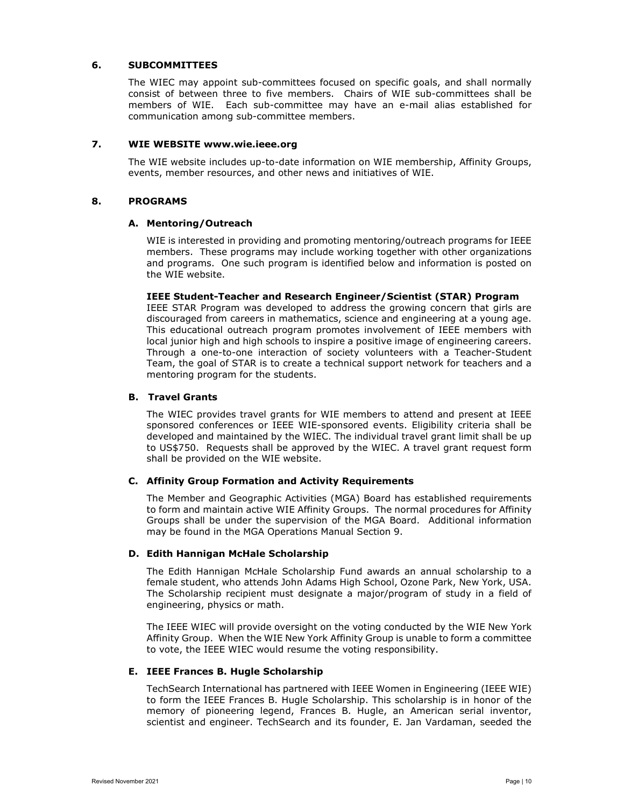## 6. SUBCOMMITTEES

The WIEC may appoint sub-committees focused on specific goals, and shall normally consist of between three to five members. Chairs of WIE sub-committees shall be members of WIE. Each sub-committee may have an e-mail alias established for communication among sub-committee members.

## 7. WIE WEBSITE www.wie.ieee.org

The WIE website includes up-to-date information on WIE membership, Affinity Groups, events, member resources, and other news and initiatives of WIE.

#### 8. PROGRAMS

## A. Mentoring/Outreach

WIE is interested in providing and promoting mentoring/outreach programs for IEEE members. These programs may include working together with other organizations and programs. One such program is identified below and information is posted on the WIE website.

## IEEE Student-Teacher and Research Engineer/Scientist (STAR) Program

IEEE STAR Program was developed to address the growing concern that girls are discouraged from careers in mathematics, science and engineering at a young age. This educational outreach program promotes involvement of IEEE members with local junior high and high schools to inspire a positive image of engineering careers. Through a one-to-one interaction of society volunteers with a Teacher-Student Team, the goal of STAR is to create a technical support network for teachers and a mentoring program for the students.

#### B. Travel Grants

The WIEC provides travel grants for WIE members to attend and present at IEEE sponsored conferences or IEEE WIE-sponsored events. Eligibility criteria shall be developed and maintained by the WIEC. The individual travel grant limit shall be up to US\$750. Requests shall be approved by the WIEC. A travel grant request form shall be provided on the WIE website.

## C. Affinity Group Formation and Activity Requirements

The Member and Geographic Activities (MGA) Board has established requirements to form and maintain active WIE Affinity Groups. The normal procedures for Affinity Groups shall be under the supervision of the MGA Board. Additional information may be found in the MGA Operations Manual Section 9.

## D. Edith Hannigan McHale Scholarship

The Edith Hannigan McHale Scholarship Fund awards an annual scholarship to a female student, who attends John Adams High School, Ozone Park, New York, USA. The Scholarship recipient must designate a major/program of study in a field of engineering, physics or math.

The IEEE WIEC will provide oversight on the voting conducted by the WIE New York Affinity Group. When the WIE New York Affinity Group is unable to form a committee to vote, the IEEE WIEC would resume the voting responsibility.

## E. IEEE Frances B. Hugle Scholarship

TechSearch International has partnered with IEEE Women in Engineering (IEEE WIE) to form the IEEE Frances B. Hugle Scholarship. This scholarship is in honor of the memory of pioneering legend, Frances B. Hugle, an American serial inventor, scientist and engineer. TechSearch and its founder, E. Jan Vardaman, seeded the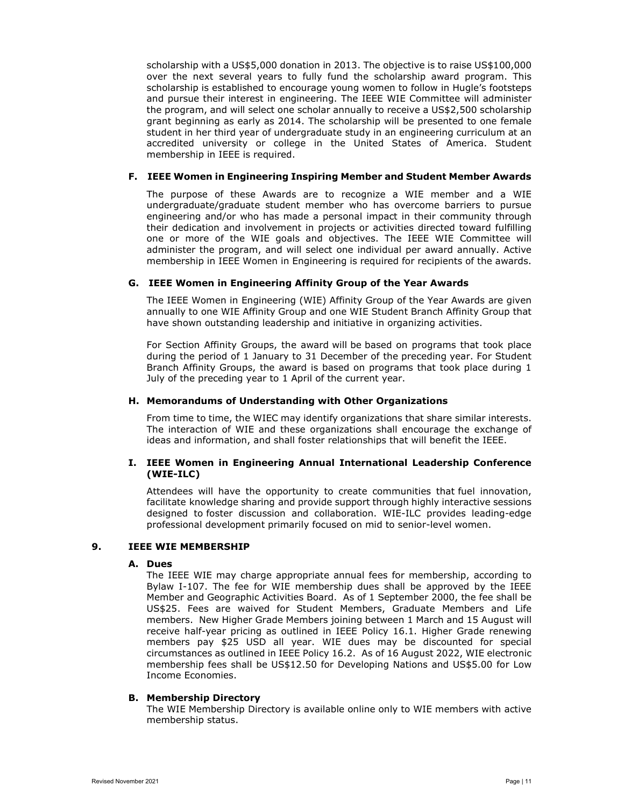scholarship with a US\$5,000 donation in 2013. The objective is to raise US\$100,000 over the next several years to fully fund the scholarship award program. This scholarship is established to encourage young women to follow in Hugle's footsteps and pursue their interest in engineering. The IEEE WIE Committee will administer the program, and will select one scholar annually to receive a US\$2,500 scholarship grant beginning as early as 2014. The scholarship will be presented to one female student in her third year of undergraduate study in an engineering curriculum at an accredited university or college in the United States of America. Student membership in IEEE is required.

## F. IEEE Women in Engineering Inspiring Member and Student Member Awards

The purpose of these Awards are to recognize a WIE member and a WIE undergraduate/graduate student member who has overcome barriers to pursue engineering and/or who has made a personal impact in their community through their dedication and involvement in projects or activities directed toward fulfilling one or more of the WIE goals and objectives. The IEEE WIE Committee will administer the program, and will select one individual per award annually. Active membership in IEEE Women in Engineering is required for recipients of the awards.

## G. IEEE Women in Engineering Affinity Group of the Year Awards

The IEEE Women in Engineering (WIE) Affinity Group of the Year Awards are given annually to one WIE Affinity Group and one WIE Student Branch Affinity Group that have shown outstanding leadership and initiative in organizing activities.

For Section Affinity Groups, the award will be based on programs that took place during the period of 1 January to 31 December of the preceding year. For Student Branch Affinity Groups, the award is based on programs that took place during 1 July of the preceding year to 1 April of the current year.

## H. Memorandums of Understanding with Other Organizations

From time to time, the WIEC may identify organizations that share similar interests. The interaction of WIE and these organizations shall encourage the exchange of ideas and information, and shall foster relationships that will benefit the IEEE.

## I. IEEE Women in Engineering Annual International Leadership Conference (WIE-ILC)

Attendees will have the opportunity to create communities that fuel innovation, facilitate knowledge sharing and provide support through highly interactive sessions designed to foster discussion and collaboration. WIE-ILC provides leading-edge professional development primarily focused on mid to senior-level women.

#### 9. IEEE WIE MEMBERSHIP

#### A. Dues

The IEEE WIE may charge appropriate annual fees for membership, according to Bylaw I-107. The fee for WIE membership dues shall be approved by the IEEE Member and Geographic Activities Board. As of 1 September 2000, the fee shall be US\$25. Fees are waived for Student Members, Graduate Members and Life members. New Higher Grade Members joining between 1 March and 15 August will receive half-year pricing as outlined in IEEE Policy 16.1. Higher Grade renewing members pay \$25 USD all year. WIE dues may be discounted for special circumstances as outlined in IEEE Policy 16.2. As of 16 August 2022, WIE electronic membership fees shall be US\$12.50 for Developing Nations and US\$5.00 for Low Income Economies.

#### B. Membership Directory

The WIE Membership Directory is available online only to WIE members with active membership status.